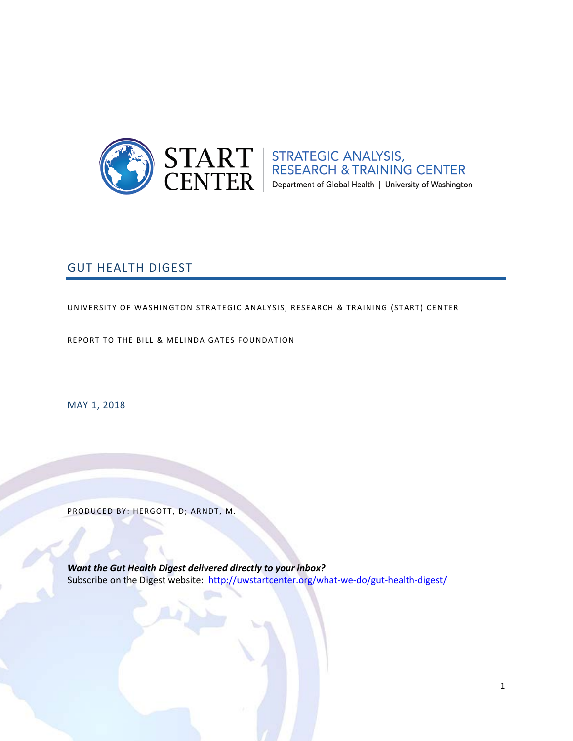

 $\text{START}\atop \text{CENTER}\left|\begin{array}{l}\text{STRATEGIC ANALYSIS},\\ \text{RESEARCH & \text{TRAINING CENTER}}\\ \text{Department of Global Health} \mid \text{University of Washington}\end{array}\right|$ 

# GUT HEALTH DIGEST

UNIVERSITY OF WASHINGTON STRATEGIC ANALY SIS, RESEARCH & TRAINING (START) CENTER

REPORT TO THE BILL & MELINDA GATES FOUNDATION

MAY 1, 2018

PRODUCED BY: HERGOTT, D; ARNDT, M.

*Want the Gut Health Digest delivered directly to your inbox?* Subscribe on the Digest website:<http://uwstartcenter.org/what-we-do/gut-health-digest/>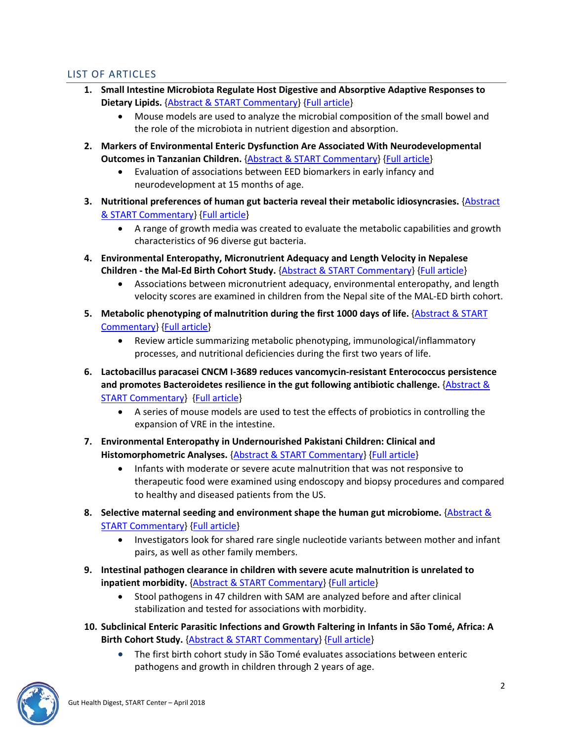# <span id="page-1-0"></span>LIST OF ARTICLES

- **1. Small Intestine Microbiota Regulate Host Digestive and Absorptive Adaptive Responses to Dietary Lipids.** [{Abstract & START Commentary}](#page-2-0) [{Full article}](https://www.cell.com/cell-host-microbe/fulltext/S1931-3128(18)30140-9)
	- Mouse models are used to analyze the microbial composition of the small bowel and the role of the microbiota in nutrient digestion and absorption.
- **2. Markers of Environmental Enteric Dysfunction Are Associated With Neurodevelopmental Outcomes in Tanzanian Children.** [{Abstract & START Commentary}](#page-3-0) [{Full article}](https://insights.ovid.com/pubmed?pmid=29613921)
	- Evaluation of associations between EED biomarkers in early infancy and neurodevelopment at 15 months of age.
- **3. Nutritional preferences of human gut bacteria reveal their metabolic idiosyncrasies.** [{Abstract](#page-5-0)  [& START Commentary}](#page-5-0) [{Full article}](https://www.nature.com/articles/s41564-018-0123-9)
	- A range of growth media was created to evaluate the metabolic capabilities and growth characteristics of 96 diverse gut bacteria.
- **4. Environmental Enteropathy, Micronutrient Adequacy and Length Velocity in Nepalese Children - the Mal-Ed Birth Cohort Study.** [{Abstract & START Commentary}](#page-6-0) [{Full article}](https://insights.ovid.com/pubmed?pmid=29620600)
	- Associations between micronutrient adequacy, environmental enteropathy, and length velocity scores are examined in children from the Nepal site of the MAL-ED birth cohort.
- **5. Metabolic phenotyping of malnutrition during the first 1000 days of life.** [{Abstract & START](#page-8-0)  [Commentary}](#page-8-0) [{Full article}](https://link.springer.com/article/10.1007%2Fs00394-018-1679-0)
	- Review article summarizing metabolic phenotyping, immunological/inflammatory processes, and nutritional deficiencies during the first two years of life.
- **6. Lactobacillus paracasei CNCM I-3689 reduces vancomycin-resistant Enterococcus persistence and promotes Bacteroidetes resilience in the gut following antibiotic challenge.** [{Abstract &](#page-10-0)  [START Commentary}](#page-10-0) [{Full article}](https://www.nature.com/articles/s41598-018-23437-9)
	- A series of mouse models are used to test the effects of probiotics in controlling the expansion of VRE in the intestine.
- **7. Environmental Enteropathy in Undernourished Pakistani Children: Clinical and Histomorphometric Analyses.** [{Abstract & START Commentary}](#page-11-0) [{Full article}](http://www.ajtmh.org/content/journals/10.4269/ajtmh.17-0306)
	- Infants with moderate or severe acute malnutrition that was not responsive to therapeutic food were examined using endoscopy and biopsy procedures and compared to healthy and diseased patients from the US.
- **8. Selective maternal seeding and environment shape the human gut microbiome.** [{Abstract &](#page-12-0)  [START Commentary}](#page-12-0) [{Full article}](https://genome.cshlp.org/content/28/4/561)
	- Investigators look for shared rare single nucleotide variants between mother and infant pairs, as well as other family members.
- **9. Intestinal pathogen clearance in children with severe acute malnutrition is unrelated to inpatient morbidity.** [{Abstract & START Commentary}](#page-14-0) [{Full article}](https://clinicalnutritionespen.com/article/S2405-4577(17)30103-1/fulltext)
	- Stool pathogens in 47 children with SAM are analyzed before and after clinical stabilization and tested for associations with morbidity.
- **10. Subclinical Enteric Parasitic Infections and Growth Faltering in Infants in São Tomé, Africa: A Birth Cohort Study.** [{Abstract & START Commentary}](#page-15-0) [{Full article}](http://www.mdpi.com/1660-4601/15/4/688)
	- The first birth cohort study in São Tomé evaluates associations between enteric pathogens and growth in children through 2 years of age.

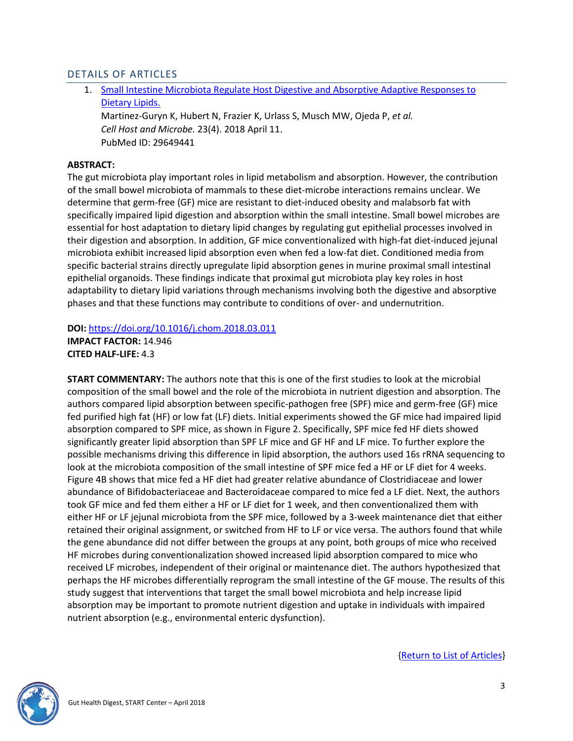# DETAILS OF ARTICLES

1. [Small Intestine Microbiota Regulate Host Digestive and Absorptive Adaptive Responses to](http://www.cell.com/cell-host-microbe/fulltext/S1931-3128(18)30140-9)  [Dietary Lipids.](http://www.cell.com/cell-host-microbe/fulltext/S1931-3128(18)30140-9)

Martinez-Guryn K, Hubert N, Frazier K, Urlass S, Musch MW, Ojeda P, *et al. Cell Host and Microbe.* 23(4). 2018 April 11. PubMed ID: 29649441

### <span id="page-2-0"></span>**ABSTRACT:**

The gut microbiota play important roles in lipid metabolism and absorption. However, the contribution of the small bowel microbiota of mammals to these diet-microbe interactions remains unclear. We determine that germ-free (GF) mice are resistant to diet-induced obesity and malabsorb fat with specifically impaired lipid digestion and absorption within the small intestine. Small bowel microbes are essential for host adaptation to dietary lipid changes by regulating gut epithelial processes involved in their digestion and absorption. In addition, GF mice conventionalized with high-fat diet-induced jejunal microbiota exhibit increased lipid absorption even when fed a low-fat diet. Conditioned media from specific bacterial strains directly upregulate lipid absorption genes in murine proximal small intestinal epithelial organoids. These findings indicate that proximal gut microbiota play key roles in host adaptability to dietary lipid variations through mechanisms involving both the digestive and absorptive phases and that these functions may contribute to conditions of over- and undernutrition.

**DOI:** <https://doi.org/10.1016/j.chom.2018.03.011>

**IMPACT FACTOR:** 14.946 **CITED HALF-LIFE:** 4.3

**START COMMENTARY:** The authors note that this is one of the first studies to look at the microbial composition of the small bowel and the role of the microbiota in nutrient digestion and absorption. The authors compared lipid absorption between specific-pathogen free (SPF) mice and germ-free (GF) mice fed purified high fat (HF) or low fat (LF) diets. Initial experiments showed the GF mice had impaired lipid absorption compared to SPF mice, as shown in Figure 2. Specifically, SPF mice fed HF diets showed significantly greater lipid absorption than SPF LF mice and GF HF and LF mice. To further explore the possible mechanisms driving this difference in lipid absorption, the authors used 16s rRNA sequencing to look at the microbiota composition of the small intestine of SPF mice fed a HF or LF diet for 4 weeks. Figure 4B shows that mice fed a HF diet had greater relative abundance of Clostridiaceae and lower abundance of Bifidobacteriaceae and Bacteroidaceae compared to mice fed a LF diet. Next, the authors took GF mice and fed them either a HF or LF diet for 1 week, and then conventionalized them with either HF or LF jejunal microbiota from the SPF mice, followed by a 3-week maintenance diet that either retained their original assignment, or switched from HF to LF or vice versa. The authors found that while the gene abundance did not differ between the groups at any point, both groups of mice who received HF microbes during conventionalization showed increased lipid absorption compared to mice who received LF microbes, independent of their original or maintenance diet. The authors hypothesized that perhaps the HF microbes differentially reprogram the small intestine of the GF mouse. The results of this study suggest that interventions that target the small bowel microbiota and help increase lipid absorption may be important to promote nutrient digestion and uptake in individuals with impaired nutrient absorption (e.g., environmental enteric dysfunction).

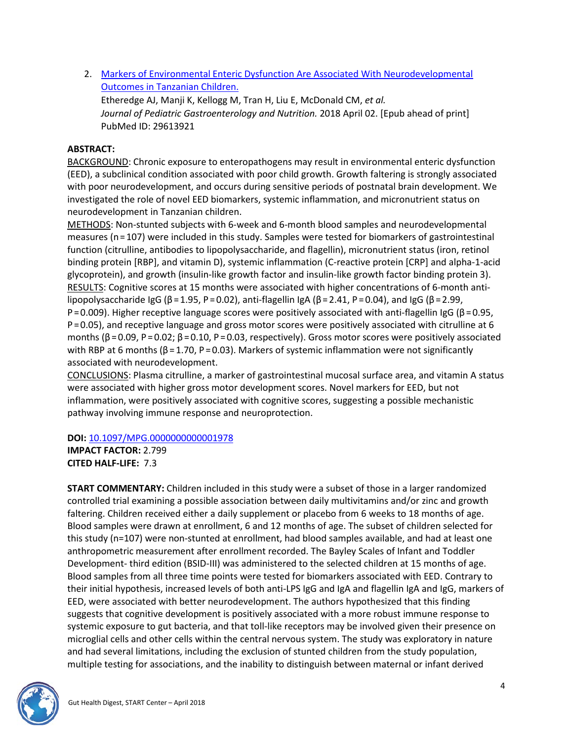2. [Markers of Environmental Enteric Dysfunction Are Associated With Neurodevelopmental](https://insights.ovid.com/pubmed?pmid=29613921)  [Outcomes in Tanzanian Children.](https://insights.ovid.com/pubmed?pmid=29613921)

Etheredge AJ, Manji K, Kellogg M, Tran H, Liu E, McDonald CM, *et al. Journal of Pediatric Gastroenterology and Nutrition.* 2018 April 02. [Epub ahead of print] PubMed ID: 29613921

# <span id="page-3-0"></span>**ABSTRACT:**

BACKGROUND: Chronic exposure to enteropathogens may result in environmental enteric dysfunction (EED), a subclinical condition associated with poor child growth. Growth faltering is strongly associated with poor neurodevelopment, and occurs during sensitive periods of postnatal brain development. We investigated the role of novel EED biomarkers, systemic inflammation, and micronutrient status on neurodevelopment in Tanzanian children.

METHODS: Non-stunted subjects with 6-week and 6-month blood samples and neurodevelopmental measures (n = 107) were included in this study. Samples were tested for biomarkers of gastrointestinal function (citrulline, antibodies to lipopolysaccharide, and flagellin), micronutrient status (iron, retinol binding protein [RBP], and vitamin D), systemic inflammation (C-reactive protein [CRP] and alpha-1-acid glycoprotein), and growth (insulin-like growth factor and insulin-like growth factor binding protein 3). RESULTS: Cognitive scores at 15 months were associated with higher concentrations of 6-month antilipopolysaccharide IgG (β = 1.95, P = 0.02), anti-flagellin IgA (β = 2.41, P = 0.04), and IgG (β = 2.99, P = 0.009). Higher receptive language scores were positively associated with anti-flagellin IgG (β = 0.95, P = 0.05), and receptive language and gross motor scores were positively associated with citrulline at 6 months (β = 0.09, P = 0.02; β = 0.10, P = 0.03, respectively). Gross motor scores were positively associated with RBP at 6 months ( $β = 1.70$ ,  $P = 0.03$ ). Markers of systemic inflammation were not significantly associated with neurodevelopment.

CONCLUSIONS: Plasma citrulline, a marker of gastrointestinal mucosal surface area, and vitamin A status were associated with higher gross motor development scores. Novel markers for EED, but not inflammation, were positively associated with cognitive scores, suggesting a possible mechanistic pathway involving immune response and neuroprotection.

**DOI:** [10.1097/MPG.0000000000001978](https://doi.org/10.1097/MPG.0000000000001978)

**IMPACT FACTOR:** 2.799 **CITED HALF-LIFE:** 7.3

**START COMMENTARY:** Children included in this study were a subset of those in a larger randomized controlled trial examining a possible association between daily multivitamins and/or zinc and growth faltering. Children received either a daily supplement or placebo from 6 weeks to 18 months of age. Blood samples were drawn at enrollment, 6 and 12 months of age. The subset of children selected for this study (n=107) were non-stunted at enrollment, had blood samples available, and had at least one anthropometric measurement after enrollment recorded. The Bayley Scales of Infant and Toddler Development- third edition (BSID-III) was administered to the selected children at 15 months of age. Blood samples from all three time points were tested for biomarkers associated with EED. Contrary to their initial hypothesis, increased levels of both anti-LPS IgG and IgA and flagellin IgA and IgG, markers of EED, were associated with better neurodevelopment. The authors hypothesized that this finding suggests that cognitive development is positively associated with a more robust immune response to systemic exposure to gut bacteria, and that toll-like receptors may be involved given their presence on microglial cells and other cells within the central nervous system. The study was exploratory in nature and had several limitations, including the exclusion of stunted children from the study population, multiple testing for associations, and the inability to distinguish between maternal or infant derived

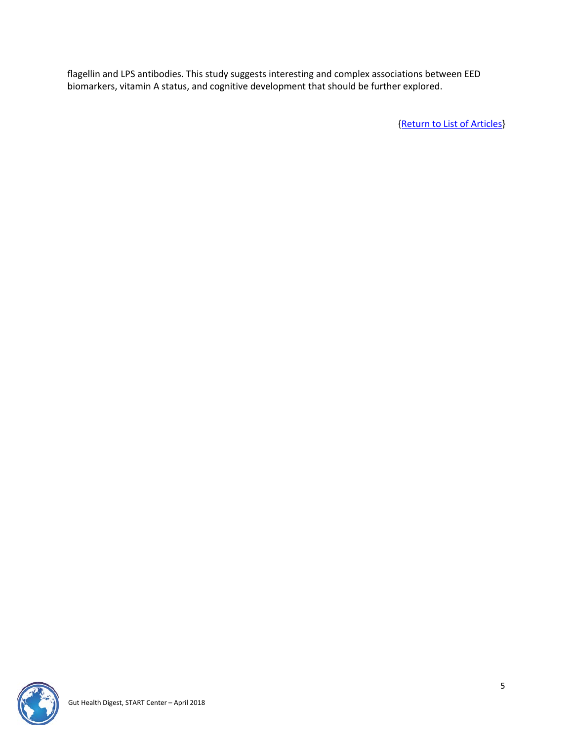flagellin and LPS antibodies. This study suggests interesting and complex associations between EED biomarkers, vitamin A status, and cognitive development that should be further explored.

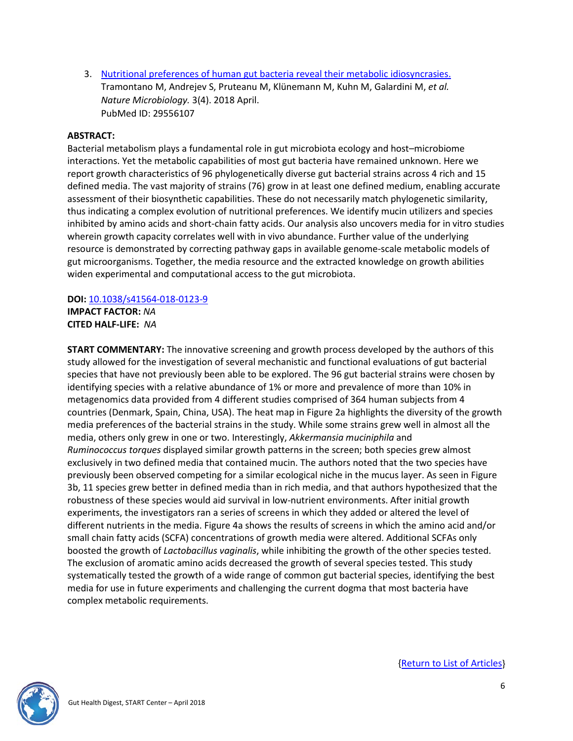3. [Nutritional preferences of human gut bacteria reveal their metabolic idiosyncrasies.](https://www.nature.com/articles/s41564-018-0123-9) Tramontano M, Andrejev S, Pruteanu M, Klünemann M, Kuhn M, Galardini M, *et al. Nature Microbiology.* 3(4). 2018 April. PubMed ID: 29556107

### <span id="page-5-0"></span>**ABSTRACT:**

Bacterial metabolism plays a fundamental role in gut microbiota ecology and host–microbiome interactions. Yet the metabolic capabilities of most gut bacteria have remained unknown. Here we report growth characteristics of 96 phylogenetically diverse gut bacterial strains across 4 rich and 15 defined media. The vast majority of strains (76) grow in at least one defined medium, enabling accurate assessment of their biosynthetic capabilities. These do not necessarily match phylogenetic similarity, thus indicating a complex evolution of nutritional preferences. We identify mucin utilizers and species inhibited by amino acids and short-chain fatty acids. Our analysis also uncovers media for in vitro studies wherein growth capacity correlates well with in vivo abundance. Further value of the underlying resource is demonstrated by correcting pathway gaps in available genome-scale metabolic models of gut microorganisms. Together, the media resource and the extracted knowledge on growth abilities widen experimental and computational access to the gut microbiota.

#### **DOI:** [10.1038/s41564-018-0123-9](https://doi.org/10.1038/s41564-018-0123-9) **IMPACT FACTOR:** *NA* **CITED HALF-LIFE:** *NA*

**START COMMENTARY:** The innovative screening and growth process developed by the authors of this study allowed for the investigation of several mechanistic and functional evaluations of gut bacterial species that have not previously been able to be explored. The 96 gut bacterial strains were chosen by identifying species with a relative abundance of 1% or more and prevalence of more than 10% in metagenomics data provided from 4 different studies comprised of 364 human subjects from 4 countries (Denmark, Spain, China, USA). The heat map in Figure 2a highlights the diversity of the growth media preferences of the bacterial strains in the study. While some strains grew well in almost all the media, others only grew in one or two. Interestingly, *Akkermansia muciniphila* and *Ruminococcus torques* displayed similar growth patterns in the screen; both species grew almost exclusively in two defined media that contained mucin. The authors noted that the two species have previously been observed competing for a similar ecological niche in the mucus layer. As seen in Figure 3b, 11 species grew better in defined media than in rich media, and that authors hypothesized that the robustness of these species would aid survival in low-nutrient environments. After initial growth experiments, the investigators ran a series of screens in which they added or altered the level of different nutrients in the media. Figure 4a shows the results of screens in which the amino acid and/or small chain fatty acids (SCFA) concentrations of growth media were altered. Additional SCFAs only boosted the growth of *Lactobacillus vaginalis*, while inhibiting the growth of the other species tested. The exclusion of aromatic amino acids decreased the growth of several species tested. This study systematically tested the growth of a wide range of common gut bacterial species, identifying the best media for use in future experiments and challenging the current dogma that most bacteria have complex metabolic requirements.

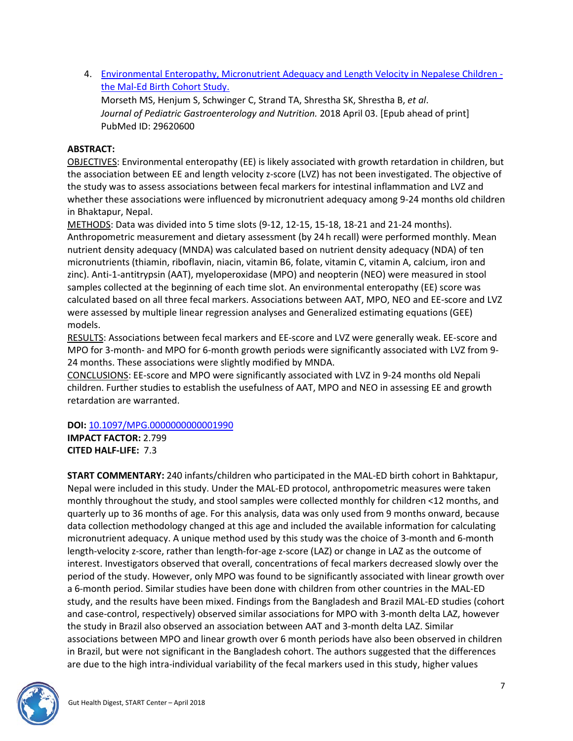4. [Environmental Enteropathy, Micronutrient Adequacy and Length Velocity in Nepalese Children](https://insights.ovid.com/pubmed?pmid=29620600)  [the Mal-Ed Birth Cohort Study.](https://insights.ovid.com/pubmed?pmid=29620600)

Morseth MS, Henjum S, Schwinger C, Strand TA, Shrestha SK, Shrestha B, *et al*. *Journal of Pediatric Gastroenterology and Nutrition.* 2018 April 03. [Epub ahead of print] PubMed ID: 29620600

# <span id="page-6-0"></span>**ABSTRACT:**

OBJECTIVES: Environmental enteropathy (EE) is likely associated with growth retardation in children, but the association between EE and length velocity z-score (LVZ) has not been investigated. The objective of the study was to assess associations between fecal markers for intestinal inflammation and LVZ and whether these associations were influenced by micronutrient adequacy among 9-24 months old children in Bhaktapur, Nepal.

METHODS: Data was divided into 5 time slots (9-12, 12-15, 15-18, 18-21 and 21-24 months). Anthropometric measurement and dietary assessment (by 24 h recall) were performed monthly. Mean nutrient density adequacy (MNDA) was calculated based on nutrient density adequacy (NDA) of ten micronutrients (thiamin, riboflavin, niacin, vitamin B6, folate, vitamin C, vitamin A, calcium, iron and zinc). Anti-1-antitrypsin (AAT), myeloperoxidase (MPO) and neopterin (NEO) were measured in stool samples collected at the beginning of each time slot. An environmental enteropathy (EE) score was calculated based on all three fecal markers. Associations between AAT, MPO, NEO and EE-score and LVZ were assessed by multiple linear regression analyses and Generalized estimating equations (GEE) models.

RESULTS: Associations between fecal markers and EE-score and LVZ were generally weak. EE-score and MPO for 3-month- and MPO for 6-month growth periods were significantly associated with LVZ from 9- 24 months. These associations were slightly modified by MNDA.

CONCLUSIONS: EE-score and MPO were significantly associated with LVZ in 9-24 months old Nepali children. Further studies to establish the usefulness of AAT, MPO and NEO in assessing EE and growth retardation are warranted.

#### **DOI:** [10.1097/MPG.0000000000001990](https://doi.org/10.1097/MPG.0000000000001990)

**IMPACT FACTOR:** 2.799 **CITED HALF-LIFE:** 7.3

**START COMMENTARY:** 240 infants/children who participated in the MAL-ED birth cohort in Bahktapur, Nepal were included in this study. Under the MAL-ED protocol, anthropometric measures were taken monthly throughout the study, and stool samples were collected monthly for children <12 months, and quarterly up to 36 months of age. For this analysis, data was only used from 9 months onward, because data collection methodology changed at this age and included the available information for calculating micronutrient adequacy. A unique method used by this study was the choice of 3-month and 6-month length-velocity z-score, rather than length-for-age z-score (LAZ) or change in LAZ as the outcome of interest. Investigators observed that overall, concentrations of fecal markers decreased slowly over the period of the study. However, only MPO was found to be significantly associated with linear growth over a 6-month period. Similar studies have been done with children from other countries in the MAL-ED study, and the results have been mixed. Findings from the Bangladesh and Brazil MAL-ED studies (cohort and case-control, respectively) observed similar associations for MPO with 3-month delta LAZ, however the study in Brazil also observed an association between AAT and 3-month delta LAZ. Similar associations between MPO and linear growth over 6 month periods have also been observed in children in Brazil, but were not significant in the Bangladesh cohort. The authors suggested that the differences are due to the high intra-individual variability of the fecal markers used in this study, higher values

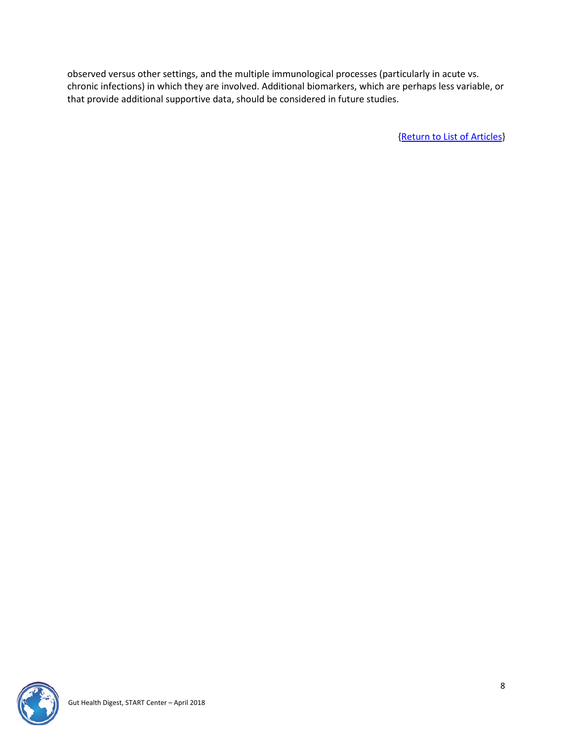observed versus other settings, and the multiple immunological processes (particularly in acute vs. chronic infections) in which they are involved. Additional biomarkers, which are perhaps less variable, or that provide additional supportive data, should be considered in future studies.

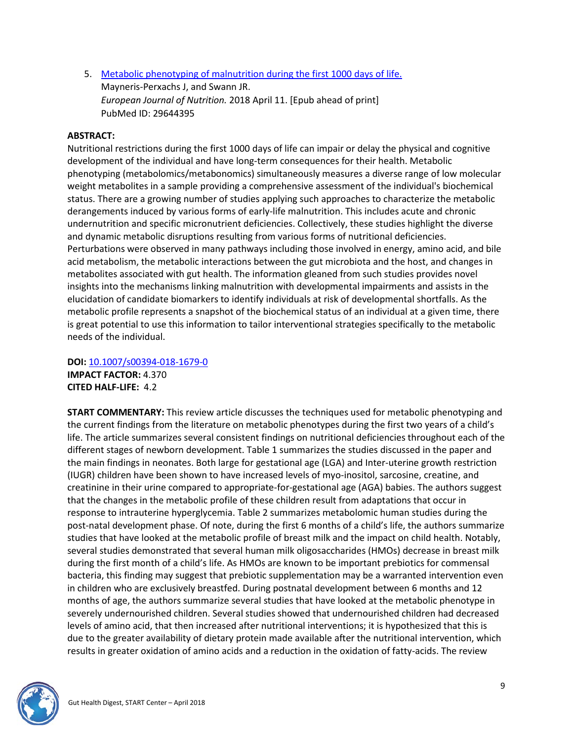5. [Metabolic phenotyping of malnutrition during the first 1000 days of life.](https://link.springer.com/article/10.1007%2Fs00394-018-1679-0) Mayneris-Perxachs J, and Swann JR. *European Journal of Nutrition.* 2018 April 11. [Epub ahead of print] PubMed ID: 29644395

# <span id="page-8-0"></span>**ABSTRACT:**

Nutritional restrictions during the first 1000 days of life can impair or delay the physical and cognitive development of the individual and have long-term consequences for their health. Metabolic phenotyping (metabolomics/metabonomics) simultaneously measures a diverse range of low molecular weight metabolites in a sample providing a comprehensive assessment of the individual's biochemical status. There are a growing number of studies applying such approaches to characterize the metabolic derangements induced by various forms of early-life malnutrition. This includes acute and chronic undernutrition and specific micronutrient deficiencies. Collectively, these studies highlight the diverse and dynamic metabolic disruptions resulting from various forms of nutritional deficiencies. Perturbations were observed in many pathways including those involved in energy, amino acid, and bile acid metabolism, the metabolic interactions between the gut microbiota and the host, and changes in metabolites associated with gut health. The information gleaned from such studies provides novel insights into the mechanisms linking malnutrition with developmental impairments and assists in the elucidation of candidate biomarkers to identify individuals at risk of developmental shortfalls. As the metabolic profile represents a snapshot of the biochemical status of an individual at a given time, there is great potential to use this information to tailor interventional strategies specifically to the metabolic needs of the individual.

**DOI:** [10.1007/s00394-018-1679-0](https://doi.org/10.1007/s00394-018-1679-0) **IMPACT FACTOR:** 4.370 **CITED HALF-LIFE:** 4.2

**START COMMENTARY:** This review article discusses the techniques used for metabolic phenotyping and the current findings from the literature on metabolic phenotypes during the first two years of a child's life. The article summarizes several consistent findings on nutritional deficiencies throughout each of the different stages of newborn development. Table 1 summarizes the studies discussed in the paper and the main findings in neonates. Both large for gestational age (LGA) and Inter-uterine growth restriction (IUGR) children have been shown to have increased levels of myo-inositol, sarcosine, creatine, and creatinine in their urine compared to appropriate-for-gestational age (AGA) babies. The authors suggest that the changes in the metabolic profile of these children result from adaptations that occur in response to intrauterine hyperglycemia. Table 2 summarizes metabolomic human studies during the post-natal development phase. Of note, during the first 6 months of a child's life, the authors summarize studies that have looked at the metabolic profile of breast milk and the impact on child health. Notably, several studies demonstrated that several human milk oligosaccharides (HMOs) decrease in breast milk during the first month of a child's life. As HMOs are known to be important prebiotics for commensal bacteria, this finding may suggest that prebiotic supplementation may be a warranted intervention even in children who are exclusively breastfed. During postnatal development between 6 months and 12 months of age, the authors summarize several studies that have looked at the metabolic phenotype in severely undernourished children. Several studies showed that undernourished children had decreased levels of amino acid, that then increased after nutritional interventions; it is hypothesized that this is due to the greater availability of dietary protein made available after the nutritional intervention, which results in greater oxidation of amino acids and a reduction in the oxidation of fatty-acids. The review

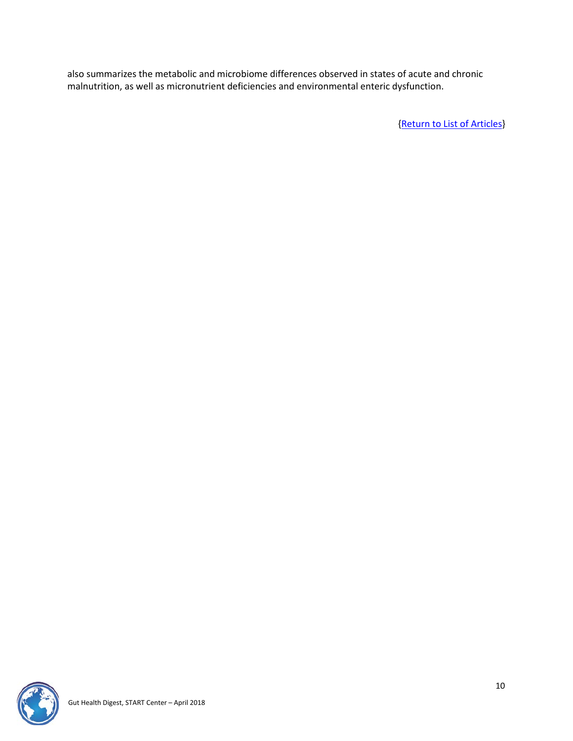also summarizes the metabolic and microbiome differences observed in states of acute and chronic malnutrition, as well as micronutrient deficiencies and environmental enteric dysfunction.

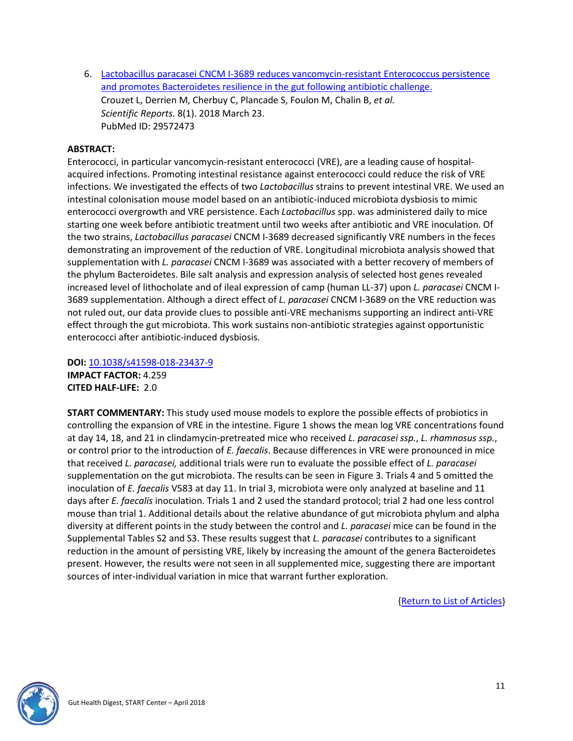6. [Lactobacillus paracasei CNCM I-3689 reduces vancomycin-resistant Enterococcus persistence](https://www.nature.com/articles/s41598-018-23437-9)  [and promotes Bacteroidetes resilience in the gut following antibiotic challenge.](https://www.nature.com/articles/s41598-018-23437-9) Crouzet L, Derrien M, Cherbuy C, Plancade S, Foulon M, Chalin B, *et al. Scientific Reports.* 8(1). 2018 March 23. PubMed ID: 29572473

#### <span id="page-10-0"></span>**ABSTRACT:**

Enterococci, in particular vancomycin-resistant enterococci (VRE), are a leading cause of hospitalacquired infections. Promoting intestinal resistance against enterococci could reduce the risk of VRE infections. We investigated the effects of two *Lactobacillus* strains to prevent intestinal VRE. We used an intestinal colonisation mouse model based on an antibiotic-induced microbiota dysbiosis to mimic enterococci overgrowth and VRE persistence. Each *Lactobacillus* spp. was administered daily to mice starting one week before antibiotic treatment until two weeks after antibiotic and VRE inoculation. Of the two strains, *Lactobacillus paracasei* CNCM I-3689 decreased significantly VRE numbers in the feces demonstrating an improvement of the reduction of VRE. Longitudinal microbiota analysis showed that supplementation with *L. paracasei* CNCM I-3689 was associated with a better recovery of members of the phylum Bacteroidetes. Bile salt analysis and expression analysis of selected host genes revealed increased level of lithocholate and of ileal expression of camp (human LL-37) upon *L. paracasei* CNCM I-3689 supplementation. Although a direct effect of *L. paracasei* CNCM I-3689 on the VRE reduction was not ruled out, our data provide clues to possible anti-VRE mechanisms supporting an indirect anti-VRE effect through the gut microbiota. This work sustains non-antibiotic strategies against opportunistic enterococci after antibiotic-induced dysbiosis.

**DOI:** [10.1038/s41598-018-23437-9](https://doi.org/10.1038/s41598-018-23437-9) **IMPACT FACTOR:** 4.259 **CITED HALF-LIFE:** 2.0

**START COMMENTARY:** This study used mouse models to explore the possible effects of probiotics in controlling the expansion of VRE in the intestine. Figure 1 shows the mean log VRE concentrations found at day 14, 18, and 21 in clindamycin-pretreated mice who received *L. paracasei ssp.*, *L. rhamnosus ssp.*, or control prior to the introduction of *E. faecalis*. Because differences in VRE were pronounced in mice that received *L. paracasei,* additional trials were run to evaluate the possible effect of *L. paracasei* supplementation on the gut microbiota. The results can be seen in Figure 3. Trials 4 and 5 omitted the inoculation of *E. faecalis* V583 at day 11. In trial 3, microbiota were only analyzed at baseline and 11 days after *E. faecalis* inoculation. Trials 1 and 2 used the standard protocol; trial 2 had one less control mouse than trial 1. Additional details about the relative abundance of gut microbiota phylum and alpha diversity at different points in the study between the control and *L. paracasei* mice can be found in the Supplemental Tables S2 and S3. These results suggest that *L. paracasei* contributes to a significant reduction in the amount of persisting VRE, likely by increasing the amount of the genera Bacteroidetes present. However, the results were not seen in all supplemented mice, suggesting there are important sources of inter-individual variation in mice that warrant further exploration.

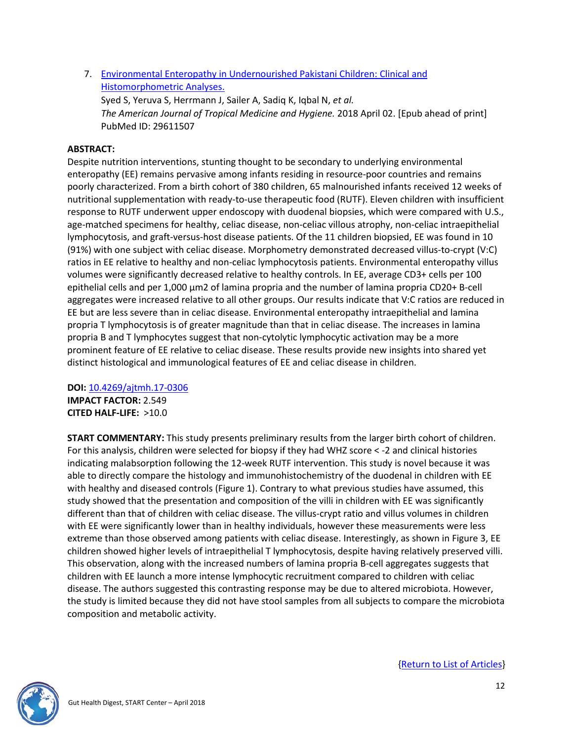7. [Environmental Enteropathy in Undernourished Pakistani Children: Clinical and](http://www.ajtmh.org/content/journals/10.4269/ajtmh.17-0306)  [Histomorphometric Analyses.](http://www.ajtmh.org/content/journals/10.4269/ajtmh.17-0306)

Syed S, Yeruva S, Herrmann J, Sailer A, Sadiq K, Iqbal N, *et al. The American Journal of Tropical Medicine and Hygiene.* 2018 April 02. [Epub ahead of print] PubMed ID: 29611507

## <span id="page-11-0"></span>**ABSTRACT:**

Despite nutrition interventions, stunting thought to be secondary to underlying environmental enteropathy (EE) remains pervasive among infants residing in resource-poor countries and remains poorly characterized. From a birth cohort of 380 children, 65 malnourished infants received 12 weeks of nutritional supplementation with ready-to-use therapeutic food (RUTF). Eleven children with insufficient response to RUTF underwent upper endoscopy with duodenal biopsies, which were compared with U.S., age-matched specimens for healthy, celiac disease, non-celiac villous atrophy, non-celiac intraepithelial lymphocytosis, and graft-versus-host disease patients. Of the 11 children biopsied, EE was found in 10 (91%) with one subject with celiac disease. Morphometry demonstrated decreased villus-to-crypt (V:C) ratios in EE relative to healthy and non-celiac lymphocytosis patients. Environmental enteropathy villus volumes were significantly decreased relative to healthy controls. In EE, average CD3+ cells per 100 epithelial cells and per 1,000 µm2 of lamina propria and the number of lamina propria CD20+ B-cell aggregates were increased relative to all other groups. Our results indicate that V:C ratios are reduced in EE but are less severe than in celiac disease. Environmental enteropathy intraepithelial and lamina propria T lymphocytosis is of greater magnitude than that in celiac disease. The increases in lamina propria B and T lymphocytes suggest that non-cytolytic lymphocytic activation may be a more prominent feature of EE relative to celiac disease. These results provide new insights into shared yet distinct histological and immunological features of EE and celiac disease in children.

**DOI:** [10.4269/ajtmh.17-0306](https://doi.org/10.4269/ajtmh.17-0306) **IMPACT FACTOR:** 2.549 **CITED HALF-LIFE:** >10.0

**START COMMENTARY:** This study presents preliminary results from the larger birth cohort of children. For this analysis, children were selected for biopsy if they had WHZ score < -2 and clinical histories indicating malabsorption following the 12-week RUTF intervention. This study is novel because it was able to directly compare the histology and immunohistochemistry of the duodenal in children with EE with healthy and diseased controls (Figure 1). Contrary to what previous studies have assumed, this study showed that the presentation and composition of the villi in children with EE was significantly different than that of children with celiac disease. The villus-crypt ratio and villus volumes in children with EE were significantly lower than in healthy individuals, however these measurements were less extreme than those observed among patients with celiac disease. Interestingly, as shown in Figure 3, EE children showed higher levels of intraepithelial T lymphocytosis, despite having relatively preserved villi. This observation, along with the increased numbers of lamina propria B-cell aggregates suggests that children with EE launch a more intense lymphocytic recruitment compared to children with celiac disease. The authors suggested this contrasting response may be due to altered microbiota. However, the study is limited because they did not have stool samples from all subjects to compare the microbiota composition and metabolic activity.

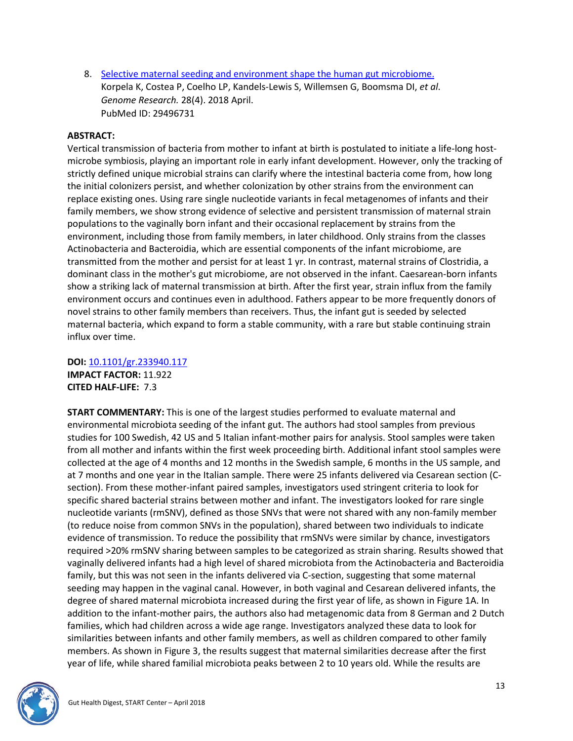8. [Selective maternal seeding and environment shape the human gut microbiome.](https://genome.cshlp.org/content/28/4/561) Korpela K, Costea P, Coelho LP, Kandels-Lewis S, Willemsen G, Boomsma DI, *et al*. *Genome Research.* 28(4). 2018 April. PubMed ID: 29496731

#### <span id="page-12-0"></span>**ABSTRACT:**

Vertical transmission of bacteria from mother to infant at birth is postulated to initiate a life-long hostmicrobe symbiosis, playing an important role in early infant development. However, only the tracking of strictly defined unique microbial strains can clarify where the intestinal bacteria come from, how long the initial colonizers persist, and whether colonization by other strains from the environment can replace existing ones. Using rare single nucleotide variants in fecal metagenomes of infants and their family members, we show strong evidence of selective and persistent transmission of maternal strain populations to the vaginally born infant and their occasional replacement by strains from the environment, including those from family members, in later childhood. Only strains from the classes Actinobacteria and Bacteroidia, which are essential components of the infant microbiome, are transmitted from the mother and persist for at least 1 yr. In contrast, maternal strains of Clostridia, a dominant class in the mother's gut microbiome, are not observed in the infant. Caesarean-born infants show a striking lack of maternal transmission at birth. After the first year, strain influx from the family environment occurs and continues even in adulthood. Fathers appear to be more frequently donors of novel strains to other family members than receivers. Thus, the infant gut is seeded by selected maternal bacteria, which expand to form a stable community, with a rare but stable continuing strain influx over time.

**DOI:** [10.1101/gr.233940.117](https://doi.org/10.1101/gr.233940.117) **IMPACT FACTOR:** 11.922 **CITED HALF-LIFE:** 7.3

**START COMMENTARY:** This is one of the largest studies performed to evaluate maternal and environmental microbiota seeding of the infant gut. The authors had stool samples from previous studies for 100 Swedish, 42 US and 5 Italian infant-mother pairs for analysis. Stool samples were taken from all mother and infants within the first week proceeding birth. Additional infant stool samples were collected at the age of 4 months and 12 months in the Swedish sample, 6 months in the US sample, and at 7 months and one year in the Italian sample. There were 25 infants delivered via Cesarean section (Csection). From these mother-infant paired samples, investigators used stringent criteria to look for specific shared bacterial strains between mother and infant. The investigators looked for rare single nucleotide variants (rmSNV), defined as those SNVs that were not shared with any non-family member (to reduce noise from common SNVs in the population), shared between two individuals to indicate evidence of transmission. To reduce the possibility that rmSNVs were similar by chance, investigators required >20% rmSNV sharing between samples to be categorized as strain sharing. Results showed that vaginally delivered infants had a high level of shared microbiota from the Actinobacteria and Bacteroidia family, but this was not seen in the infants delivered via C-section, suggesting that some maternal seeding may happen in the vaginal canal. However, in both vaginal and Cesarean delivered infants, the degree of shared maternal microbiota increased during the first year of life, as shown in Figure 1A. In addition to the infant-mother pairs, the authors also had metagenomic data from 8 German and 2 Dutch families, which had children across a wide age range. Investigators analyzed these data to look for similarities between infants and other family members, as well as children compared to other family members. As shown in Figure 3, the results suggest that maternal similarities decrease after the first year of life, while shared familial microbiota peaks between 2 to 10 years old. While the results are

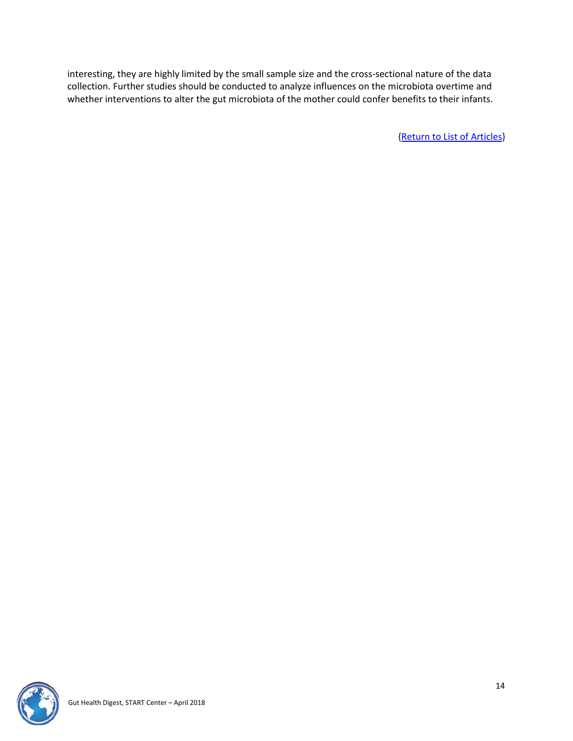interesting, they are highly limited by the small sample size and the cross-sectional nature of the data collection. Further studies should be conducted to analyze influences on the microbiota overtime and whether interventions to alter the gut microbiota of the mother could confer benefits to their infants.

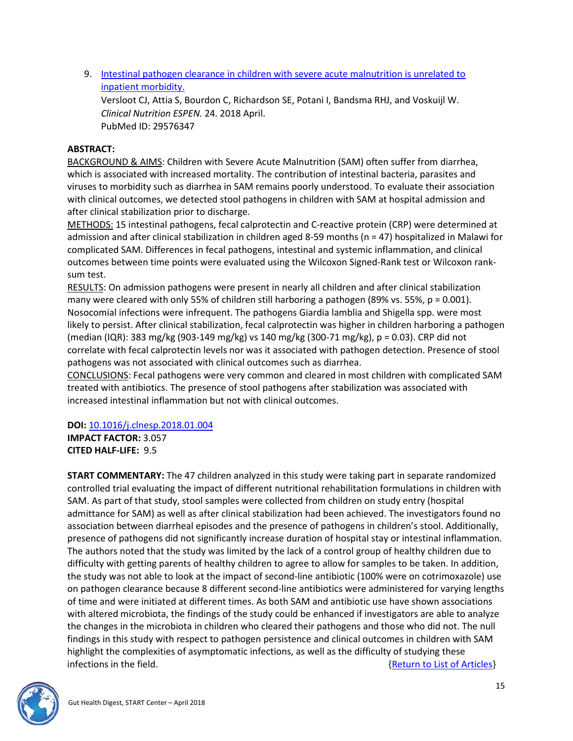9. [Intestinal pathogen clearance in children with severe acute malnutrition is unrelated to](https://clinicalnutritionespen.com/article/S2405-4577(17)30103-1/fulltext)  [inpatient morbidity.](https://clinicalnutritionespen.com/article/S2405-4577(17)30103-1/fulltext)

Versloot CJ, Attia S, Bourdon C, Richardson SE, Potani I, Bandsma RHJ, and Voskuijl W. *Clinical Nutrition ESPEN.* 24. 2018 April. PubMed ID: 29576347

### <span id="page-14-0"></span>**ABSTRACT:**

BACKGROUND & AIMS: Children with Severe Acute Malnutrition (SAM) often suffer from diarrhea, which is associated with increased mortality. The contribution of intestinal bacteria, parasites and viruses to morbidity such as diarrhea in SAM remains poorly understood. To evaluate their association with clinical outcomes, we detected stool pathogens in children with SAM at hospital admission and after clinical stabilization prior to discharge.

METHODS: 15 intestinal pathogens, fecal calprotectin and C-reactive protein (CRP) were determined at admission and after clinical stabilization in children aged 8-59 months (n = 47) hospitalized in Malawi for complicated SAM. Differences in fecal pathogens, intestinal and systemic inflammation, and clinical outcomes between time points were evaluated using the Wilcoxon Signed-Rank test or Wilcoxon ranksum test.

RESULTS: On admission pathogens were present in nearly all children and after clinical stabilization many were cleared with only 55% of children still harboring a pathogen (89% vs. 55%, p = 0.001). Nosocomial infections were infrequent. The pathogens Giardia lamblia and Shigella spp. were most likely to persist. After clinical stabilization, fecal calprotectin was higher in children harboring a pathogen (median (IQR): 383 mg/kg (903-149 mg/kg) vs 140 mg/kg (300-71 mg/kg), p = 0.03). CRP did not correlate with fecal calprotectin levels nor was it associated with pathogen detection. Presence of stool pathogens was not associated with clinical outcomes such as diarrhea.

CONCLUSIONS: Fecal pathogens were very common and cleared in most children with complicated SAM treated with antibiotics. The presence of stool pathogens after stabilization was associated with increased intestinal inflammation but not with clinical outcomes.

#### **DOI:** [10.1016/j.clnesp.2018.01.004](https://doi.org/10.1016/j.clnesp.2018.01.004)

**IMPACT FACTOR:** 3.057 **CITED HALF-LIFE:** 9.5

**START COMMENTARY:** The 47 children analyzed in this study were taking part in separate randomized controlled trial evaluating the impact of different nutritional rehabilitation formulations in children with SAM. As part of that study, stool samples were collected from children on study entry (hospital admittance for SAM) as well as after clinical stabilization had been achieved. The investigators found no association between diarrheal episodes and the presence of pathogens in children's stool. Additionally, presence of pathogens did not significantly increase duration of hospital stay or intestinal inflammation. The authors noted that the study was limited by the lack of a control group of healthy children due to difficulty with getting parents of healthy children to agree to allow for samples to be taken. In addition, the study was not able to look at the impact of second-line antibiotic (100% were on cotrimoxazole) use on pathogen clearance because 8 different second-line antibiotics were administered for varying lengths of time and were initiated at different times. As both SAM and antibiotic use have shown associations with altered microbiota, the findings of the study could be enhanced if investigators are able to analyze the changes in the microbiota in children who cleared their pathogens and those who did not. The null findings in this study with respect to pathogen persistence and clinical outcomes in children with SAM highlight the complexities of asymptomatic infections, as well as the difficulty of studying these infections in the field.  ${Return to List of Articles}$ 

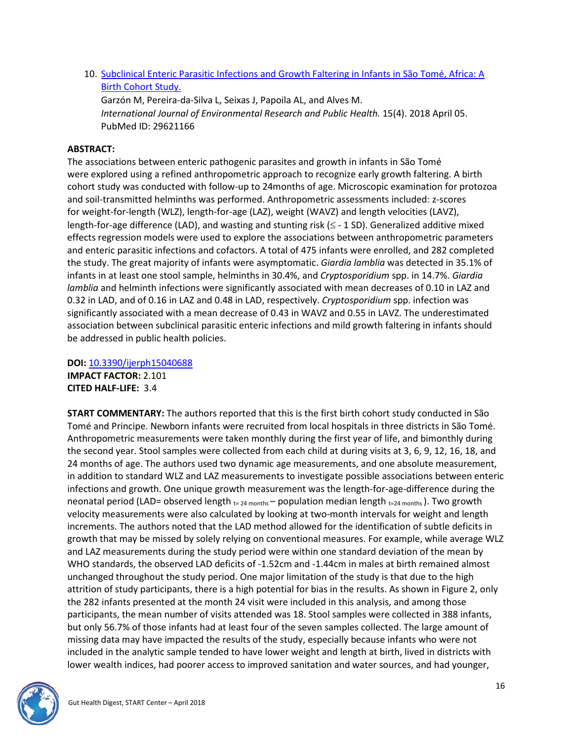10. Subclinical Enteric Parasitic Infections and Growth [Faltering in Infants in São Tomé, Africa: A](http://www.mdpi.com/1660-4601/15/4/688)  [Birth Cohort Study.](http://www.mdpi.com/1660-4601/15/4/688)

Garzón M, Pereira-da-Silva L, Seixas J, Papoila AL, and Alves M. *International Journal of Environmental Research and Public Health.* 15(4). 2018 April 05. PubMed ID: 29621166

# <span id="page-15-0"></span>**ABSTRACT:**

The associations between enteric pathogenic parasites and growth in infants in São Tomé were explored using a refined anthropometric approach to recognize early growth faltering. A birth cohort study was conducted with follow-up to 24months of age. Microscopic examination for protozoa and soil-transmitted helminths was performed. Anthropometric assessments included: z-scores for weight-for-length (WLZ), length-for-age (LAZ), weight (WAVZ) and length velocities (LAVZ), length-for-age difference (LAD), and wasting and stunting risk ( $\leq$  - 1 SD). Generalized additive mixed effects regression models were used to explore the associations between anthropometric parameters and enteric parasitic infections and cofactors. A total of 475 infants were enrolled, and 282 completed the study. The great majority of infants were asymptomatic. *Giardia lamblia* was detected in 35.1% of infants in at least one stool sample, helminths in 30.4%, and *Cryptosporidium* spp. in 14.7%. *Giardia lamblia* and helminth infections were significantly associated with mean decreases of 0.10 in LAZ and 0.32 in LAD, and of 0.16 in LAZ and 0.48 in LAD, respectively. *Cryptosporidium* spp. infection was significantly associated with a mean decrease of 0.43 in WAVZ and 0.55 in LAVZ. The underestimated association between subclinical parasitic enteric infections and mild growth faltering in infants should be addressed in public health policies.

**DOI:** [10.3390/ijerph15040688](https://doi.org/10.3390/ijerph15040688) **IMPACT FACTOR:** 2.101 **CITED HALF-LIFE:** 3.4

**START COMMENTARY:** The authors reported that this is the first birth cohort study conducted in São Tomé and Principe. Newborn infants were recruited from local hospitals in three districts in São Tomé. Anthropometric measurements were taken monthly during the first year of life, and bimonthly during the second year. Stool samples were collected from each child at during visits at 3, 6, 9, 12, 16, 18, and 24 months of age. The authors used two dynamic age measurements, and one absolute measurement, in addition to standard WLZ and LAZ measurements to investigate possible associations between enteric infections and growth. One unique growth measurement was the length-for-age-difference during the neonatal period (LAD= observed length  $_{t=24 \text{ months}}$  – population median length  $_{t=24 \text{ months}}$ ). Two growth velocity measurements were also calculated by looking at two-month intervals for weight and length increments. The authors noted that the LAD method allowed for the identification of subtle deficits in growth that may be missed by solely relying on conventional measures. For example, while average WLZ and LAZ measurements during the study period were within one standard deviation of the mean by WHO standards, the observed LAD deficits of -1.52cm and -1.44cm in males at birth remained almost unchanged throughout the study period. One major limitation of the study is that due to the high attrition of study participants, there is a high potential for bias in the results. As shown in Figure 2, only the 282 infants presented at the month 24 visit were included in this analysis, and among those participants, the mean number of visits attended was 18. Stool samples were collected in 388 infants, but only 56.7% of those infants had at least four of the seven samples collected. The large amount of missing data may have impacted the results of the study, especially because infants who were not included in the analytic sample tended to have lower weight and length at birth, lived in districts with lower wealth indices, had poorer access to improved sanitation and water sources, and had younger,

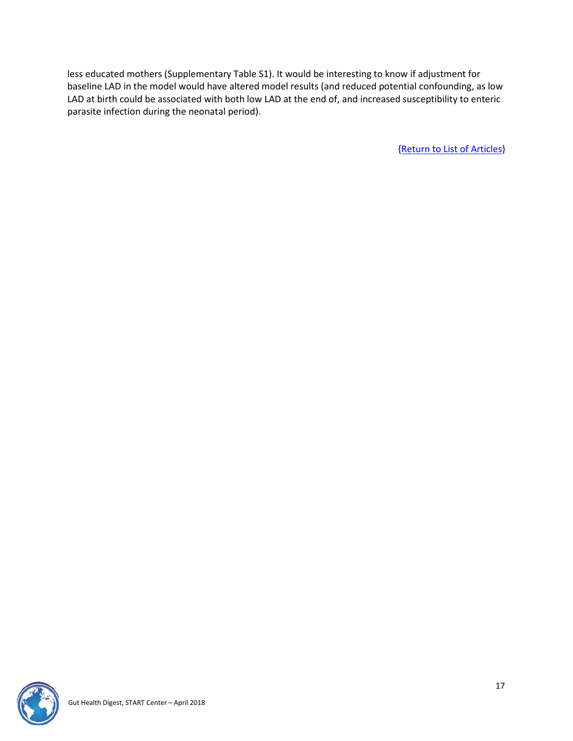less educated mothers (Supplementary Table S1). It would be interesting to know if adjustment for baseline LAD in the model would have altered model results (and reduced potential confounding, as low LAD at birth could be associated with both low LAD at the end of, and increased susceptibility to enteric parasite infection during the neonatal period).